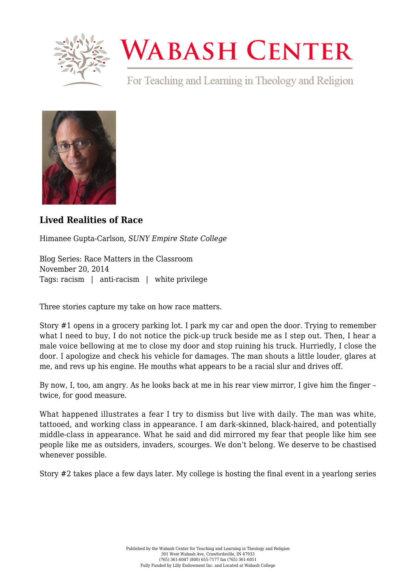

## **WABASH CENTER**

For Teaching and Learning in Theology and Religion



## **[Lived Realities of Race](https://www.wabashcenter.wabash.edu/2014/11/lived-realities-of-race/)**

Himanee Gupta-Carlson, *SUNY Empire State College*

Blog Series: Race Matters in the Classroom November 20, 2014 Tags: racism | anti-racism | white privilege

Three stories capture my take on how race matters.

Story #1 opens in a grocery parking lot. I park my car and open the door. Trying to remember what I need to buy, I do not notice the pick-up truck beside me as I step out. Then, I hear a male voice bellowing at me to close my door and stop ruining his truck. Hurriedly, I close the door. I apologize and check his vehicle for damages. The man shouts a little louder, glares at me, and revs up his engine. He mouths what appears to be a racial slur and drives off.

By now, I, too, am angry. As he looks back at me in his rear view mirror, I give him the finger – twice, for good measure.

What happened illustrates a fear I try to dismiss but live with daily. The man was white, tattooed, and working class in appearance. I am dark-skinned, black-haired, and potentially middle-class in appearance. What he said and did mirrored my fear that people like him see people like me as outsiders, invaders, scourges. We don't belong. We deserve to be chastised whenever possible.

Story #2 takes place a few days later. My college is hosting the final event in a yearlong series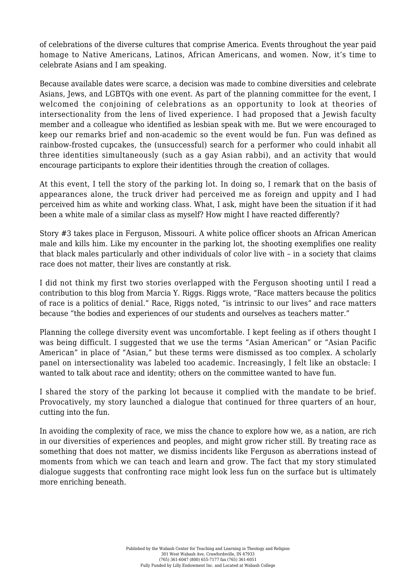of celebrations of the diverse cultures that comprise America. Events throughout the year paid homage to Native Americans, Latinos, African Americans, and women. Now, it's time to celebrate Asians and I am speaking.

Because available dates were scarce, a decision was made to combine diversities and celebrate Asians, Jews, and LGBTQs with one event. As part of the planning committee for the event, I welcomed the conjoining of celebrations as an opportunity to look at theories of intersectionality from the lens of lived experience. I had proposed that a Jewish faculty member and a colleague who identified as lesbian speak with me. But we were encouraged to keep our remarks brief and non-academic so the event would be fun. Fun was defined as rainbow-frosted cupcakes, the (unsuccessful) search for a performer who could inhabit all three identities simultaneously (such as a gay Asian rabbi), and an activity that would encourage participants to explore their identities through the creation of collages.

At this event, I tell the story of the parking lot. In doing so, I remark that on the basis of appearances alone, the truck driver had perceived me as foreign and uppity and I had perceived him as white and working class. What, I ask, might have been the situation if it had been a white male of a similar class as myself? How might I have reacted differently?

Story #3 takes place in Ferguson, Missouri. A white police officer shoots an African American male and kills him. Like my encounter in the parking lot, the shooting exemplifies one reality that black males particularly and other individuals of color live with – in a society that claims race does not matter, their lives are constantly at risk.

I did not think my first two stories overlapped with the Ferguson shooting until I read a contribution to this blog from Marcia Y. Riggs. Riggs wrote, "Race matters because the politics of race is a politics of denial." Race, Riggs noted, "is intrinsic to our lives" and race matters because "the bodies and experiences of our students and ourselves as teachers matter."

Planning the college diversity event was uncomfortable. I kept feeling as if others thought I was being difficult. I suggested that we use the terms "Asian American" or "Asian Pacific American" in place of "Asian," but these terms were dismissed as too complex. A scholarly panel on intersectionality was labeled too academic. Increasingly, I felt like an obstacle: I wanted to talk about race and identity; others on the committee wanted to have fun.

I shared the story of the parking lot because it complied with the mandate to be brief. Provocatively, my story launched a dialogue that continued for three quarters of an hour, cutting into the fun.

In avoiding the complexity of race, we miss the chance to explore how we, as a nation, are rich in our diversities of experiences and peoples, and might grow richer still. By treating race as something that does not matter, we dismiss incidents like Ferguson as aberrations instead of moments from which we can teach and learn and grow. The fact that my story stimulated dialogue suggests that confronting race might look less fun on the surface but is ultimately more enriching beneath.